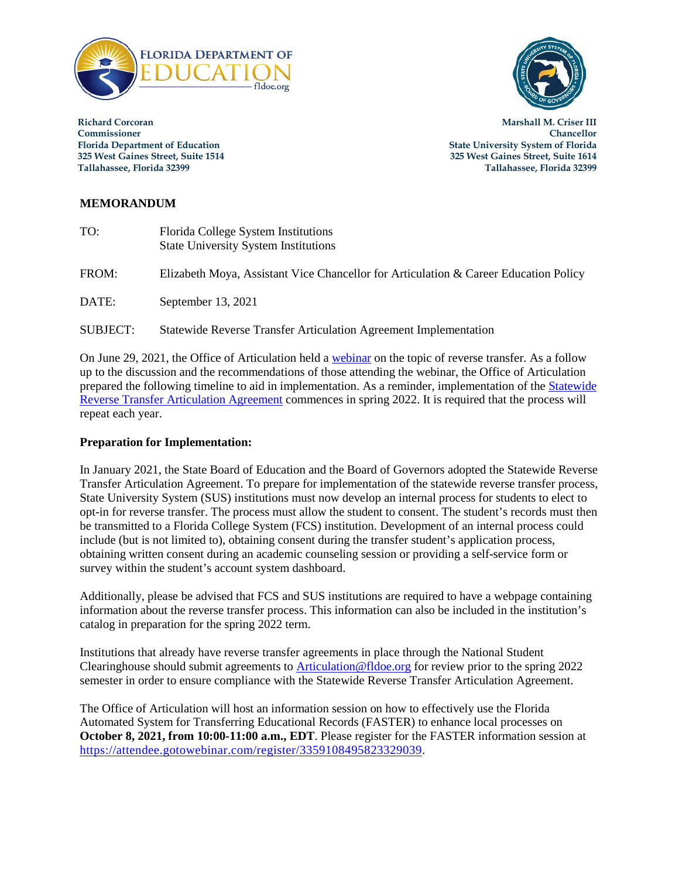



**Richard Corcoran Marshall M. Criser III Commissioner Chancellor**

**Florida Department of Education State University System of Florida 325 West Gaines Street, Suite 1514 325 West Gaines Street, Suite 1614 Tallahassee, Florida 32399 Tallahassee, Florida 32399**

## **MEMORANDUM**

| TO:             | Florida College System Institutions<br><b>State University System Institutions</b>   |
|-----------------|--------------------------------------------------------------------------------------|
| FROM:           | Elizabeth Moya, Assistant Vice Chancellor for Articulation & Career Education Policy |
| DATE:           | September 13, 2021                                                                   |
| <b>SUBJECT:</b> | Statewide Reverse Transfer Articulation Agreement Implementation                     |

On June 29, 2021, the Office of Articulation held a [webinar](http://data.fldoe.org/winmed2/articulation/June29RT.mp4) on the topic of reverse transfer. As a follow up to the discussion and the recommendations of those attending the webinar, the Office of Articulation prepared the following timeline to aid in implementation. As a reminder, implementation of the [Statewide](https://www.fldoe.org/core/fileparse.php/19942/urlt/9-2.pdf)  [Reverse Transfer Articulation Agreement](https://www.fldoe.org/core/fileparse.php/19942/urlt/9-2.pdf) commences in spring 2022. It is required that the process will repeat each year.

## **Preparation for Implementation:**

In January 2021, the State Board of Education and the Board of Governors adopted the Statewide Reverse Transfer Articulation Agreement. To prepare for implementation of the statewide reverse transfer process, State University System (SUS) institutions must now develop an internal process for students to elect to opt-in for reverse transfer. The process must allow the student to consent. The student's records must then be transmitted to a Florida College System (FCS) institution. Development of an internal process could include (but is not limited to), obtaining consent during the transfer student's application process, obtaining written consent during an academic counseling session or providing a self-service form or survey within the student's account system dashboard.

Additionally, please be advised that FCS and SUS institutions are required to have a webpage containing information about the reverse transfer process. This information can also be included in the institution's catalog in preparation for the spring 2022 term.

Institutions that already have reverse transfer agreements in place through the National Student Clearinghouse should submit agreements to [Articulation@fldoe.org](mailto:Articulation@fldoe.org) for review prior to the spring 2022 semester in order to ensure compliance with the Statewide Reverse Transfer Articulation Agreement.

The Office of Articulation will host an information session on how to effectively use the Florida Automated System for Transferring Educational Records (FASTER) to enhance local processes on **October 8, 2021, from 10:00-11:00 a.m., EDT**. Please register for the FASTER information session at [https://attendee.gotowebinar.com/register/3359108495823329039.](https://attendee.gotowebinar.com/register/3359108495823329039)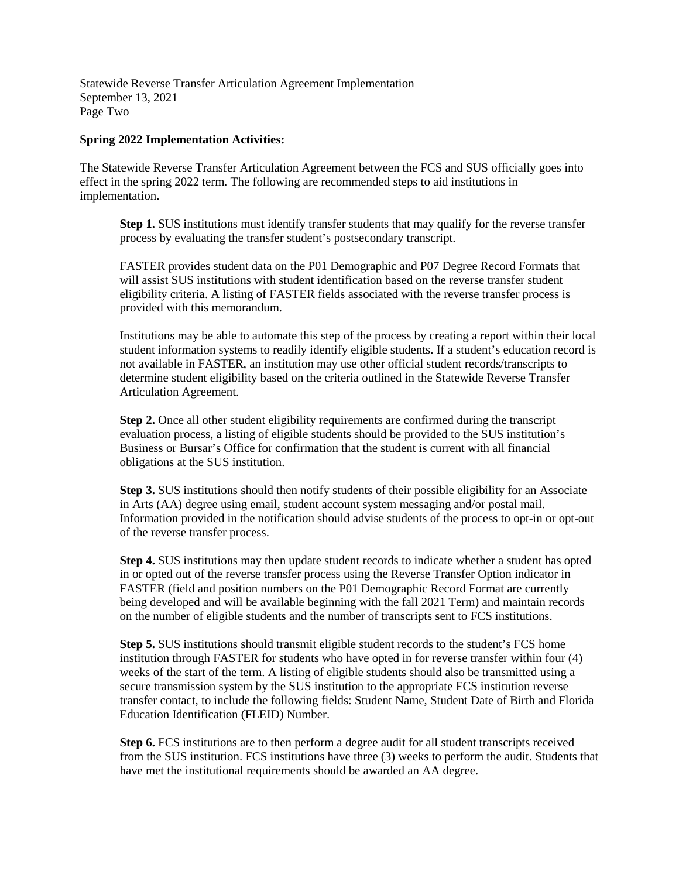Statewide Reverse Transfer Articulation Agreement Implementation September 13, 2021 Page Two

## **Spring 2022 Implementation Activities:**

The Statewide Reverse Transfer Articulation Agreement between the FCS and SUS officially goes into effect in the spring 2022 term. The following are recommended steps to aid institutions in implementation.

**Step 1.** SUS institutions must identify transfer students that may qualify for the reverse transfer process by evaluating the transfer student's postsecondary transcript.

FASTER provides student data on the P01 Demographic and P07 Degree Record Formats that will assist SUS institutions with student identification based on the reverse transfer student eligibility criteria. A listing of FASTER fields associated with the reverse transfer process is provided with this memorandum.

Institutions may be able to automate this step of the process by creating a report within their local student information systems to readily identify eligible students. If a student's education record is not available in FASTER, an institution may use other official student records/transcripts to determine student eligibility based on the criteria outlined in the Statewide Reverse Transfer Articulation Agreement.

**Step 2.** Once all other student eligibility requirements are confirmed during the transcript evaluation process, a listing of eligible students should be provided to the SUS institution's Business or Bursar's Office for confirmation that the student is current with all financial obligations at the SUS institution.

**Step 3.** SUS institutions should then notify students of their possible eligibility for an Associate in Arts (AA) degree using email, student account system messaging and/or postal mail. Information provided in the notification should advise students of the process to opt-in or opt-out of the reverse transfer process.

**Step 4.** SUS institutions may then update student records to indicate whether a student has opted in or opted out of the reverse transfer process using the Reverse Transfer Option indicator in FASTER (field and position numbers on the P01 Demographic Record Format are currently being developed and will be available beginning with the fall 2021 Term) and maintain records on the number of eligible students and the number of transcripts sent to FCS institutions.

**Step 5.** SUS institutions should transmit eligible student records to the student's FCS home institution through FASTER for students who have opted in for reverse transfer within four (4) weeks of the start of the term. A listing of eligible students should also be transmitted using a secure transmission system by the SUS institution to the appropriate FCS institution reverse transfer contact, to include the following fields: Student Name, Student Date of Birth and Florida Education Identification (FLEID) Number.

**Step 6.** FCS institutions are to then perform a degree audit for all student transcripts received from the SUS institution. FCS institutions have three (3) weeks to perform the audit. Students that have met the institutional requirements should be awarded an AA degree.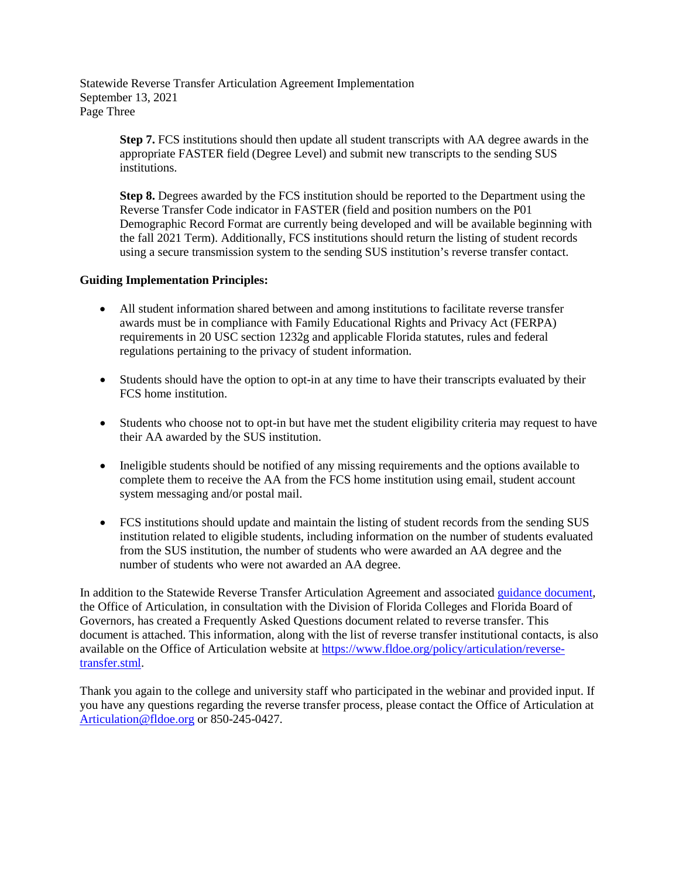Statewide Reverse Transfer Articulation Agreement Implementation September 13, 2021 Page Three

> **Step 7.** FCS institutions should then update all student transcripts with AA degree awards in the appropriate FASTER field (Degree Level) and submit new transcripts to the sending SUS institutions.

> **Step 8.** Degrees awarded by the FCS institution should be reported to the Department using the Reverse Transfer Code indicator in FASTER (field and position numbers on the P01 Demographic Record Format are currently being developed and will be available beginning with the fall 2021 Term). Additionally, FCS institutions should return the listing of student records using a secure transmission system to the sending SUS institution's reverse transfer contact.

## **Guiding Implementation Principles:**

- All student information shared between and among institutions to facilitate reverse transfer awards must be in compliance with Family Educational Rights and Privacy Act (FERPA) requirements in 20 USC section 1232g and applicable Florida statutes, rules and federal regulations pertaining to the privacy of student information.
- Students should have the option to opt-in at any time to have their transcripts evaluated by their FCS home institution.
- Students who choose not to opt-in but have met the student eligibility criteria may request to have their AA awarded by the SUS institution.
- Ineligible students should be notified of any missing requirements and the options available to complete them to receive the AA from the FCS home institution using email, student account system messaging and/or postal mail.
- FCS institutions should update and maintain the listing of student records from the sending SUS institution related to eligible students, including information on the number of students evaluated from the SUS institution, the number of students who were awarded an AA degree and the number of students who were not awarded an AA degree.

In addition to the Statewide Reverse Transfer Articulation Agreement and associate[d guidance document,](https://www.fldoe.org/core/fileparse.php/7671/urlt/ReverseTransferGuidance-May2021.pdf) the Office of Articulation, in consultation with the Division of Florida Colleges and Florida Board of Governors, has created a Frequently Asked Questions document related to reverse transfer. This document is attached. This information, along with the list of reverse transfer institutional contacts, is also available on the Office of Articulation website at [https://www.fldoe.org/policy/articulation/reverse](https://www.fldoe.org/policy/articulation/reverse-transfer.stml)[transfer.stml.](https://www.fldoe.org/policy/articulation/reverse-transfer.stml)

Thank you again to the college and university staff who participated in the webinar and provided input. If you have any questions regarding the reverse transfer process, please contact the Office of Articulation at [Articulation@fldoe.org](mailto:Articulation@fldoe.org) or 850-245-0427.